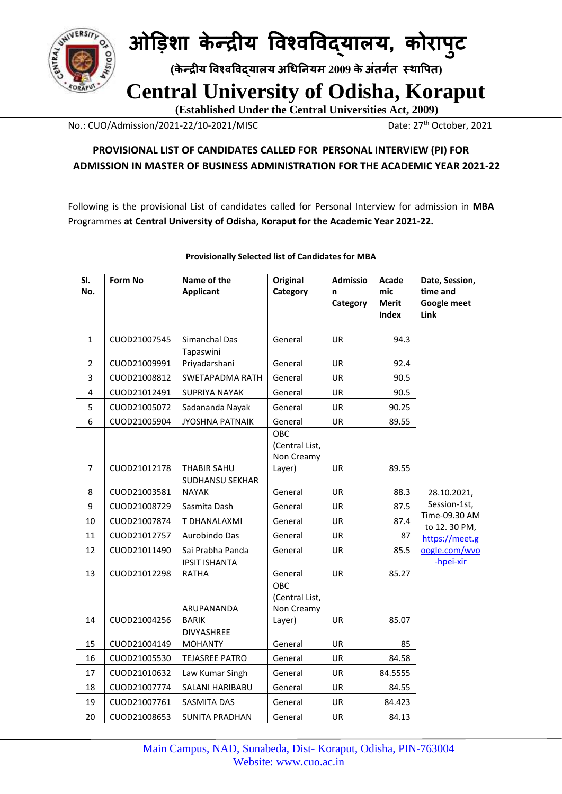

 **(के न्द्रीय विश्िविद्यालय अधिनियम 2009 केअंतर्गत स्थावपत)**

 **Central University of Odisha, Koraput**

 **(Established Under the Central Universities Act, 2009)**

No.: CUO/Admission/2021-22/10-2021/MISC Date: 27<sup>th</sup> October, 2021

#### **PROVISIONAL LIST OF CANDIDATES CALLED FOR PERSONAL INTERVIEW (PI) FOR ADMISSION IN MASTER OF BUSINESS ADMINISTRATION FOR THE ACADEMIC YEAR 2021-22**

Following is the provisional List of candidates called for Personal Interview for admission in **MBA** Programmes **at Central University of Odisha, Koraput for the Academic Year 2021-22.**

|                | Provisionally Selected list of Candidates for MBA |                                       |                                               |                                  |                                              |                                                          |
|----------------|---------------------------------------------------|---------------------------------------|-----------------------------------------------|----------------------------------|----------------------------------------------|----------------------------------------------------------|
| SI.<br>No.     | <b>Form No</b>                                    | Name of the<br><b>Applicant</b>       | Original<br>Category                          | <b>Admissio</b><br>n<br>Category | Acade<br>mic<br><b>Merit</b><br><b>Index</b> | Date, Session,<br>time and<br><b>Google meet</b><br>Link |
| $\mathbf{1}$   | CUOD21007545                                      | Simanchal Das                         | General                                       | <b>UR</b>                        | 94.3                                         |                                                          |
| $\overline{2}$ | CUOD21009991                                      | Tapaswini<br>Priyadarshani            | General                                       | <b>UR</b>                        | 92.4                                         |                                                          |
| 3              | CUOD21008812                                      | SWETAPADMA RATH                       | General                                       | <b>UR</b>                        | 90.5                                         |                                                          |
| 4              | CUOD21012491                                      | <b>SUPRIYA NAYAK</b>                  | General                                       | UR                               | 90.5                                         |                                                          |
| 5              | CUOD21005072                                      | Sadananda Nayak                       | General                                       | UR                               | 90.25                                        |                                                          |
| 6              | CUOD21005904                                      | <b>JYOSHNA PATNAIK</b>                | General                                       | UR                               | 89.55                                        |                                                          |
| 7              | CUOD21012178                                      | THABIR SAHU<br><b>SUDHANSU SEKHAR</b> | OBC<br>(Central List,<br>Non Creamy<br>Layer) | UR                               | 89.55                                        |                                                          |
| 8              | CUOD21003581                                      | <b>NAYAK</b>                          | General                                       | <b>UR</b>                        | 88.3                                         | 28.10.2021,                                              |
| 9              | CUOD21008729                                      | Sasmita Dash                          | General                                       | <b>UR</b>                        | 87.5                                         | Session-1st,                                             |
| 10             | CUOD21007874                                      | T DHANALAXMI                          | General                                       | UR                               | 87.4                                         | Time-09.30 AM<br>to 12.30 PM,                            |
| 11             | CUOD21012757                                      | Aurobindo Das                         | General                                       | <b>UR</b>                        | 87                                           | https://meet.g                                           |
| 12             | CUOD21011490                                      | Sai Prabha Panda                      | General                                       | UR                               | 85.5                                         | oogle.com/wvo                                            |
| 13             | CUOD21012298                                      | <b>IPSIT ISHANTA</b><br><b>RATHA</b>  | General                                       | <b>UR</b>                        | 85.27                                        | -hpei-xir                                                |
| 14             | CUOD21004256                                      | ARUPANANDA<br><b>BARIK</b>            | OBC<br>(Central List,<br>Non Creamy<br>Layer) | UR                               | 85.07                                        |                                                          |
| 15             | CUOD21004149                                      | <b>DIVYASHREE</b><br><b>MOHANTY</b>   | General                                       | UR                               | 85                                           |                                                          |
| 16             | CUOD21005530                                      | <b>TEJASREE PATRO</b>                 | General                                       | UR                               | 84.58                                        |                                                          |
| 17             | CUOD21010632                                      | Law Kumar Singh                       | General                                       | UR                               | 84.5555                                      |                                                          |
| 18             | CUOD21007774                                      | SALANI HARIBABU                       | General                                       | UR                               | 84.55                                        |                                                          |
| 19             | CUOD21007761                                      | <b>SASMITA DAS</b>                    | General                                       | UR                               | 84.423                                       |                                                          |
| 20             | CUOD21008653                                      | <b>SUNITA PRADHAN</b>                 | General                                       | UR                               | 84.13                                        |                                                          |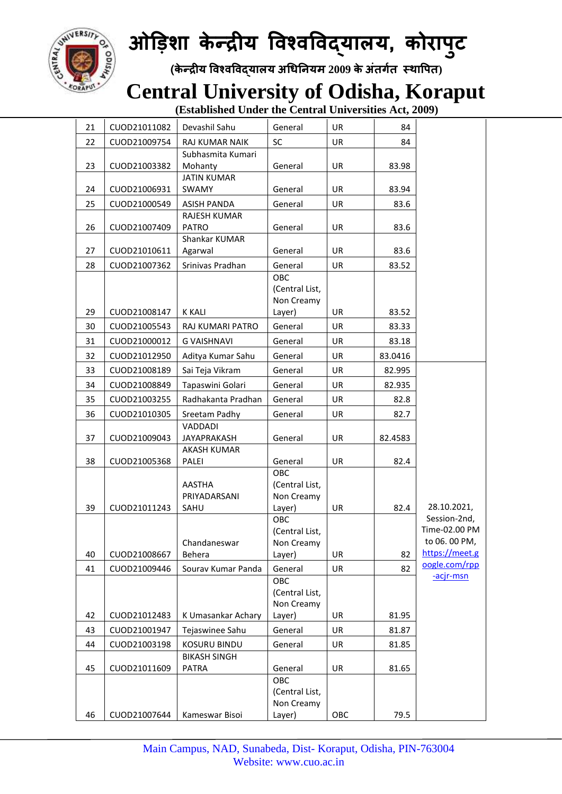

 **(के न्द्रीय विश्िविद्यालय अधिनियम 2009 केअंतर्गत स्थावपत)**

#### **Central University of Odisha, Koraput**

| 21 | CUOD21011082 | Devashil Sahu                       | General               | UR        | 84      |                             |
|----|--------------|-------------------------------------|-----------------------|-----------|---------|-----------------------------|
| 22 | CUOD21009754 | RAJ KUMAR NAIK                      | <b>SC</b>             | <b>UR</b> | 84      |                             |
|    |              | Subhasmita Kumari                   |                       |           |         |                             |
| 23 | CUOD21003382 | Mohanty                             | General               | UR        | 83.98   |                             |
| 24 | CUOD21006931 | <b>JATIN KUMAR</b><br>SWAMY         | General               | UR        | 83.94   |                             |
|    |              |                                     |                       |           |         |                             |
| 25 | CUOD21000549 | <b>ASISH PANDA</b><br>RAJESH KUMAR  | General               | UR        | 83.6    |                             |
| 26 | CUOD21007409 | <b>PATRO</b>                        | General               | UR        | 83.6    |                             |
|    |              | Shankar KUMAR                       |                       |           |         |                             |
| 27 | CUOD21010611 | Agarwal                             | General               | UR        | 83.6    |                             |
| 28 | CUOD21007362 | Srinivas Pradhan                    | General               | <b>UR</b> | 83.52   |                             |
|    |              |                                     | OBC                   |           |         |                             |
|    |              |                                     | (Central List,        |           |         |                             |
| 29 | CUOD21008147 | <b>K KALI</b>                       | Non Creamy<br>Layer)  | UR        | 83.52   |                             |
| 30 | CUOD21005543 | <b>RAJ KUMARI PATRO</b>             | General               | UR        |         |                             |
|    |              |                                     |                       |           | 83.33   |                             |
| 31 | CUOD21000012 | <b>G VAISHNAVI</b>                  | General               | UR        | 83.18   |                             |
| 32 | CUOD21012950 | Aditya Kumar Sahu                   | General               | UR        | 83.0416 |                             |
| 33 | CUOD21008189 | Sai Teja Vikram                     | General               | UR        | 82.995  |                             |
| 34 | CUOD21008849 | Tapaswini Golari                    | General               | UR        | 82.935  |                             |
| 35 | CUOD21003255 | Radhakanta Pradhan                  | General               | UR        | 82.8    |                             |
| 36 | CUOD21010305 | Sreetam Padhy                       | General               | UR        | 82.7    |                             |
|    |              | VADDADI                             |                       |           |         |                             |
| 37 | CUOD21009043 | <b>JAYAPRAKASH</b><br>AKASH KUMAR   | General               | UR        | 82.4583 |                             |
| 38 | CUOD21005368 | PALEI                               | General               | UR        | 82.4    |                             |
|    |              |                                     | OBC                   |           |         |                             |
|    |              | AASTHA                              | (Central List,        |           |         |                             |
|    |              | PRIYADARSANI                        | Non Creamy            |           |         |                             |
| 39 | CUOD21011243 | SAHU                                | Layer)                | UR        | 82.4    | 28.10.2021,<br>Session-2nd, |
|    |              |                                     | OBC<br>(Central List, |           |         | Time-02.00 PM               |
|    |              | Chandaneswar                        | Non Creamy            |           |         | to 06. 00 PM.               |
| 40 | CUOD21008667 | Behera                              | Layer)                | UR        | 82      | https://meet.g              |
| 41 | CUOD21009446 | Sourav Kumar Panda                  | General               | UR        | 82      | oogle.com/rpp               |
|    |              |                                     | OBC                   |           |         | -acjr-msn                   |
|    |              |                                     | (Central List,        |           |         |                             |
|    |              |                                     | Non Creamy            |           |         |                             |
| 42 | CUOD21012483 | K Umasankar Achary                  | Layer)                | UR        | 81.95   |                             |
| 43 | CUOD21001947 | Tejaswinee Sahu                     | General               | UR        | 81.87   |                             |
| 44 | CUOD21003198 | <b>KOSURU BINDU</b>                 | General               | UR        | 81.85   |                             |
| 45 | CUOD21011609 | <b>BIKASH SINGH</b><br><b>PATRA</b> | General               | UR        | 81.65   |                             |
|    |              |                                     | OBC                   |           |         |                             |
|    |              |                                     | (Central List,        |           |         |                             |
| 46 | CUOD21007644 | Kameswar Bisoi                      | Non Creamy<br>Layer)  | OBC       | 79.5    |                             |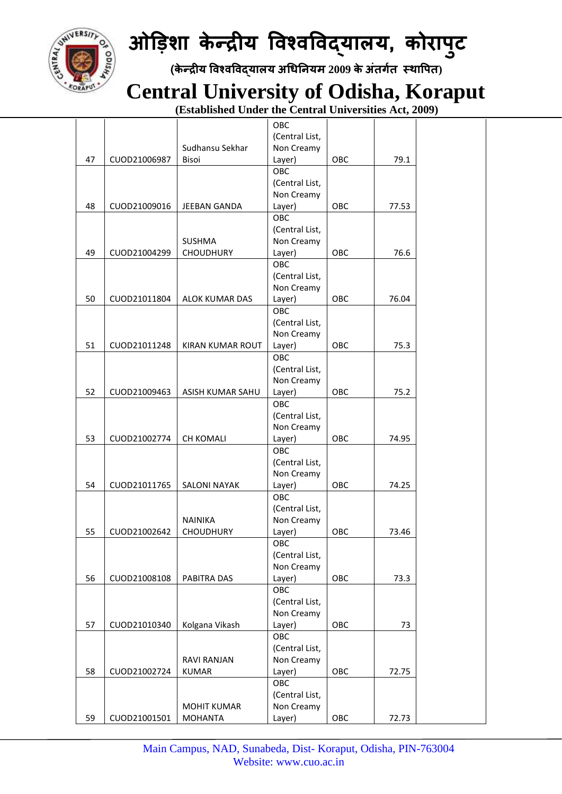

 **(के न्द्रीय विश्िविद्यालय अधिनियम 2009 केअंतर्गत स्थावपत)**

 **Central University of Odisha, Koraput**

|    |              |                       | OBC            |     |       |  |
|----|--------------|-----------------------|----------------|-----|-------|--|
|    |              |                       | (Central List, |     |       |  |
|    |              | Sudhansu Sekhar       | Non Creamy     |     |       |  |
| 47 | CUOD21006987 | <b>Bisoi</b>          | Layer)         | OBC | 79.1  |  |
|    |              |                       | OBC            |     |       |  |
|    |              |                       | (Central List, |     |       |  |
|    |              |                       | Non Creamy     |     |       |  |
| 48 | CUOD21009016 | JEEBAN GANDA          | Layer)         | OBC | 77.53 |  |
|    |              |                       | OBC            |     |       |  |
|    |              |                       | (Central List, |     |       |  |
|    |              |                       |                |     |       |  |
|    |              | <b>SUSHMA</b>         | Non Creamy     |     |       |  |
| 49 | CUOD21004299 | <b>CHOUDHURY</b>      | Layer)         | OBC | 76.6  |  |
|    |              |                       | OBC            |     |       |  |
|    |              |                       | (Central List, |     |       |  |
|    |              |                       | Non Creamy     |     |       |  |
| 50 | CUOD21011804 | <b>ALOK KUMAR DAS</b> | Layer)         | OBC | 76.04 |  |
|    |              |                       | OBC            |     |       |  |
|    |              |                       | (Central List, |     |       |  |
|    |              |                       | Non Creamy     |     |       |  |
| 51 | CUOD21011248 | KIRAN KUMAR ROUT      | Layer)         | OBC | 75.3  |  |
|    |              |                       | OBC            |     |       |  |
|    |              |                       | (Central List, |     |       |  |
|    |              |                       | Non Creamy     |     |       |  |
| 52 | CUOD21009463 | ASISH KUMAR SAHU      | Layer)         | OBC | 75.2  |  |
|    |              |                       | OBC            |     |       |  |
|    |              |                       |                |     |       |  |
|    |              |                       | (Central List, |     |       |  |
|    |              |                       | Non Creamy     |     |       |  |
| 53 | CUOD21002774 | CH KOMALI             | Layer)         | OBC | 74.95 |  |
|    |              |                       | OBC            |     |       |  |
|    |              |                       | (Central List, |     |       |  |
|    |              |                       | Non Creamy     |     |       |  |
| 54 | CUOD21011765 | <b>SALONI NAYAK</b>   | Layer)         | OBC | 74.25 |  |
|    |              |                       | OBC            |     |       |  |
|    |              |                       | (Central List, |     |       |  |
|    |              | <b>NAINIKA</b>        | Non Creamy     |     |       |  |
| 55 | CUOD21002642 | <b>CHOUDHURY</b>      | Layer)         | OBC | 73.46 |  |
|    |              |                       | OBC            |     |       |  |
|    |              |                       | (Central List, |     |       |  |
|    |              |                       | Non Creamy     |     |       |  |
| 56 | CUOD21008108 | PABITRA DAS           | Layer)         | OBC | 73.3  |  |
|    |              |                       | OBC            |     |       |  |
|    |              |                       | (Central List, |     |       |  |
|    |              |                       | Non Creamy     |     |       |  |
|    |              |                       |                |     |       |  |
| 57 | CUOD21010340 | Kolgana Vikash        | Layer)         | OBC | 73    |  |
|    |              |                       | OBC            |     |       |  |
|    |              |                       | (Central List, |     |       |  |
|    |              | <b>RAVI RANJAN</b>    | Non Creamy     |     |       |  |
| 58 | CUOD21002724 | <b>KUMAR</b>          | Layer)         | OBC | 72.75 |  |
|    |              |                       | OBC            |     |       |  |
|    |              |                       | (Central List, |     |       |  |
|    |              | <b>MOHIT KUMAR</b>    | Non Creamy     |     |       |  |
| 59 | CUOD21001501 | <b>MOHANTA</b>        | Layer)         | OBC | 72.73 |  |
|    |              |                       |                |     |       |  |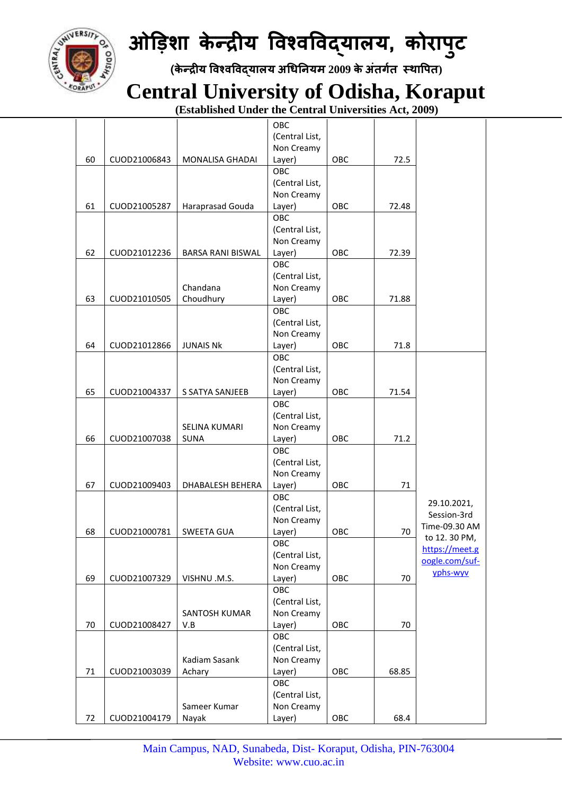

 **(के न्द्रीय विश्िविद्यालय अधिनियम 2009 केअंतर्गत स्थावपत)**

 **Central University of Odisha, Koraput**

|    |              |                          | OBC            |     |       |                |
|----|--------------|--------------------------|----------------|-----|-------|----------------|
|    |              |                          | (Central List, |     |       |                |
|    |              |                          | Non Creamy     |     |       |                |
| 60 | CUOD21006843 | MONALISA GHADAI          | Layer)         | OBC | 72.5  |                |
|    |              |                          | OBC            |     |       |                |
|    |              |                          | (Central List, |     |       |                |
|    |              |                          | Non Creamy     |     |       |                |
| 61 | CUOD21005287 | Haraprasad Gouda         | Layer)         | OBC | 72.48 |                |
|    |              |                          | OBC            |     |       |                |
|    |              |                          | (Central List, |     |       |                |
|    |              |                          | Non Creamy     |     |       |                |
| 62 | CUOD21012236 | <b>BARSA RANI BISWAL</b> | Layer)         | OBC | 72.39 |                |
|    |              |                          | OBC            |     |       |                |
|    |              |                          | (Central List, |     |       |                |
|    |              | Chandana                 | Non Creamy     |     |       |                |
| 63 | CUOD21010505 | Choudhury                | Layer)         | OBC | 71.88 |                |
|    |              |                          | OBC            |     |       |                |
|    |              |                          | (Central List, |     |       |                |
|    |              |                          | Non Creamy     |     |       |                |
| 64 | CUOD21012866 | <b>JUNAIS NK</b>         | Layer)         | OBC | 71.8  |                |
|    |              |                          | <b>OBC</b>     |     |       |                |
|    |              |                          | (Central List, |     |       |                |
|    |              |                          | Non Creamy     |     |       |                |
| 65 | CUOD21004337 | S SATYA SANJEEB          | Layer)         | OBC | 71.54 |                |
|    |              |                          | OBC            |     |       |                |
|    |              |                          |                |     |       |                |
|    |              |                          | (Central List, |     |       |                |
|    |              | SELINA KUMARI            | Non Creamy     |     |       |                |
| 66 | CUOD21007038 | <b>SUNA</b>              | Layer)         | OBC | 71.2  |                |
|    |              |                          | OBC            |     |       |                |
|    |              |                          | (Central List, |     |       |                |
|    |              |                          | Non Creamy     |     |       |                |
| 67 | CUOD21009403 | DHABALESH BEHERA         | Layer)         | OBC | 71    |                |
|    |              |                          | OBC            |     |       | 29.10.2021,    |
|    |              |                          | (Central List, |     |       | Session-3rd    |
|    |              |                          | Non Creamy     |     |       | Time-09.30 AM  |
| 68 | CUOD21000781 | <b>SWEETA GUA</b>        | Layer)         | OBC | 70    | to 12.30 PM,   |
|    |              |                          | OBC            |     |       | https://meet.g |
|    |              |                          | (Central List, |     |       | oogle.com/suf- |
|    |              |                          | Non Creamy     |     |       | yphs-wyv       |
| 69 | CUOD21007329 | VISHNU .M.S.             | Layer)         | OBC | 70    |                |
|    |              |                          | OBC            |     |       |                |
|    |              |                          | (Central List, |     |       |                |
|    |              | SANTOSH KUMAR            | Non Creamy     |     |       |                |
| 70 | CUOD21008427 | V.B                      | Layer)         | OBC | 70    |                |
|    |              |                          | OBC            |     |       |                |
|    |              |                          | (Central List, |     |       |                |
|    |              | Kadiam Sasank            | Non Creamy     |     |       |                |
| 71 | CUOD21003039 | Achary                   | Layer)         | OBC | 68.85 |                |
|    |              |                          | OBC            |     |       |                |
|    |              |                          | (Central List, |     |       |                |
|    |              | Sameer Kumar             | Non Creamy     |     |       |                |
| 72 | CUOD21004179 | Nayak                    | Layer)         | OBC | 68.4  |                |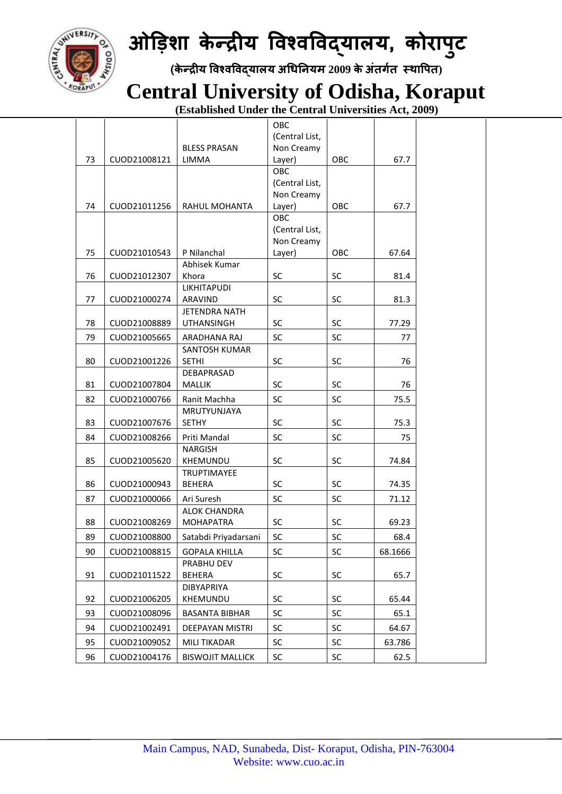

 **(के न्द्रीय विश्िविद्यालय अधिनियम 2009 केअंतर्गत स्थावपत)**

 **Central University of Odisha, Koraput**

|    |              |                         | OBC            |           |         |  |
|----|--------------|-------------------------|----------------|-----------|---------|--|
|    |              |                         | (Central List, |           |         |  |
|    |              | <b>BLESS PRASAN</b>     | Non Creamy     |           |         |  |
| 73 | CUOD21008121 | LIMMA                   | Layer)         | OBC       | 67.7    |  |
|    |              |                         | OBC            |           |         |  |
|    |              |                         | (Central List, |           |         |  |
|    |              |                         | Non Creamy     |           |         |  |
| 74 | CUOD21011256 | RAHUL MOHANTA           | Layer)         | OBC       | 67.7    |  |
|    |              |                         | OBC            |           |         |  |
|    |              |                         | (Central List, |           |         |  |
|    |              |                         | Non Creamy     |           |         |  |
| 75 | CUOD21010543 | P Nilanchal             | Layer)         | OBC       | 67.64   |  |
|    |              | Abhisek Kumar           |                |           |         |  |
| 76 | CUOD21012307 | Khora                   | SC             | <b>SC</b> | 81.4    |  |
|    |              | <b>LIKHITAPUDI</b>      |                |           |         |  |
| 77 | CUOD21000274 | ARAVIND                 | SC             | <b>SC</b> | 81.3    |  |
|    |              | <b>JETENDRA NATH</b>    |                |           |         |  |
| 78 | CUOD21008889 | <b>UTHANSINGH</b>       | SC             | SC        | 77.29   |  |
| 79 | CUOD21005665 | ARADHANA RAJ            | SC             | SC        | 77      |  |
|    |              | SANTOSH KUMAR           |                |           |         |  |
| 80 | CUOD21001226 | <b>SETHI</b>            | SC             | SC        | 76      |  |
|    |              | DEBAPRASAD              |                |           |         |  |
| 81 | CUOD21007804 | <b>MALLIK</b>           | SC             | <b>SC</b> | 76      |  |
| 82 | CUOD21000766 | Ranit Machha            | SC             | SC        | 75.5    |  |
|    |              | <b>MRUTYUNJAYA</b>      |                |           |         |  |
| 83 | CUOD21007676 | <b>SETHY</b>            | SC             | <b>SC</b> | 75.3    |  |
| 84 | CUOD21008266 | Priti Mandal            | SC             | SC        | 75      |  |
|    |              | <b>NARGISH</b>          |                |           |         |  |
| 85 | CUOD21005620 | KHEMUNDU                | SC             | SC        | 74.84   |  |
|    |              | TRUPTIMAYEE             |                |           |         |  |
| 86 | CUOD21000943 | <b>BEHERA</b>           | SC             | SC        | 74.35   |  |
| 87 | CUOD21000066 | Ari Suresh              | SC             | SC        | 71.12   |  |
|    |              | <b>ALOK CHANDRA</b>     |                |           |         |  |
| 88 | CUOD21008269 | <b>MOHAPATRA</b>        | SC             | SC        | 69.23   |  |
| 89 | CUOD21008800 | Satabdi Priyadarsani    | SC             | SC        | 68.4    |  |
| 90 | CUOD21008815 | <b>GOPALA KHILLA</b>    | SC             | SC        | 68.1666 |  |
|    |              | PRABHU DEV              |                |           |         |  |
| 91 | CUOD21011522 | <b>BEHERA</b>           | SC             | SC        | 65.7    |  |
|    |              | <b>DIBYAPRIYA</b>       |                |           |         |  |
| 92 | CUOD21006205 | KHEMUNDU                | SC             | SC        | 65.44   |  |
| 93 | CUOD21008096 | <b>BASANTA BIBHAR</b>   | <b>SC</b>      | <b>SC</b> | 65.1    |  |
| 94 | CUOD21002491 | <b>DEEPAYAN MISTRI</b>  | <b>SC</b>      | <b>SC</b> | 64.67   |  |
| 95 | CUOD21009052 | MILI TIKADAR            | SC             | SC        | 63.786  |  |
| 96 | CUOD21004176 | <b>BISWOJIT MALLICK</b> | SC             | SC        | 62.5    |  |
|    |              |                         |                |           |         |  |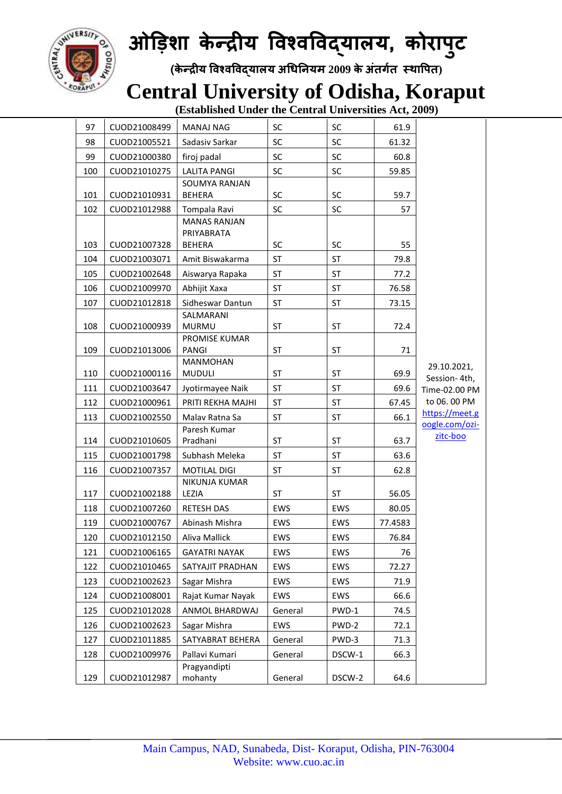

 **(के न्द्रीय विश्िविद्यालय अधिनियम 2009 केअंतर्गत स्थावपत)**

#### **Central University of Odisha, Koraput**

| 97  | CUOD21008499 | <b>MANAJ NAG</b>                  | SC        | SC         | 61.9    |                               |
|-----|--------------|-----------------------------------|-----------|------------|---------|-------------------------------|
| 98  | CUOD21005521 | Sadasiv Sarkar                    | <b>SC</b> | SC         | 61.32   |                               |
| 99  | CUOD21000380 | firoj padal                       | <b>SC</b> | SC         | 60.8    |                               |
| 100 | CUOD21010275 | <b>LALITA PANGI</b>               | <b>SC</b> | SC         | 59.85   |                               |
|     |              | SOUMYA RANJAN                     |           |            |         |                               |
| 101 | CUOD21010931 | <b>BEHERA</b>                     | SC        | SC         | 59.7    |                               |
| 102 | CUOD21012988 | Tompala Ravi                      | <b>SC</b> | SC         | 57      |                               |
|     |              | <b>MANAS RANJAN</b><br>PRIYABRATA |           |            |         |                               |
| 103 | CUOD21007328 | <b>BEHERA</b>                     | <b>SC</b> | <b>SC</b>  | 55      |                               |
| 104 | CUOD21003071 | Amit Biswakarma                   | <b>ST</b> | <b>ST</b>  | 79.8    |                               |
| 105 | CUOD21002648 | Aiswarya Rapaka                   | <b>ST</b> | <b>ST</b>  | 77.2    |                               |
| 106 | CUOD21009970 | Abhijit Xaxa                      | <b>ST</b> | ST         | 76.58   |                               |
| 107 | CUOD21012818 | Sidheswar Dantun                  | <b>ST</b> | ST         | 73.15   |                               |
|     |              | SALMARANI                         |           |            |         |                               |
| 108 | CUOD21000939 | <b>MURMU</b>                      | ST        | ST         | 72.4    |                               |
|     |              | PROMISE KUMAR                     |           |            |         |                               |
| 109 | CUOD21013006 | PANGI<br><b>MANMOHAN</b>          | <b>ST</b> | <b>ST</b>  | 71      |                               |
| 110 | CUOD21000116 | <b>MUDULI</b>                     | ST        | ST         | 69.9    | 29.10.2021,                   |
| 111 | CUOD21003647 | Jyotirmayee Naik                  | <b>ST</b> | <b>ST</b>  | 69.6    | Session-4th,<br>Time-02.00 PM |
| 112 | CUOD21000961 | PRITI REKHA MAJHI                 | ST        | ST         | 67.45   | to 06.00 PM                   |
| 113 | CUOD21002550 | Malav Ratna Sa                    | <b>ST</b> | ST         | 66.1    | https://meet.g                |
|     |              | Paresh Kumar                      |           |            |         | oogle.com/ozi-<br>zitc-boo    |
| 114 | CUOD21010605 | Pradhani                          | <b>ST</b> | ST         | 63.7    |                               |
| 115 | CUOD21001798 | Subhash Meleka                    | <b>ST</b> | ST         | 63.6    |                               |
| 116 | CUOD21007357 | <b>MOTILAL DIGI</b>               | <b>ST</b> | <b>ST</b>  | 62.8    |                               |
| 117 | CUOD21002188 | NIKUNJA KUMAR<br>LEZIA            | <b>ST</b> | <b>ST</b>  | 56.05   |                               |
| 118 | CUOD21007260 | <b>RETESH DAS</b>                 | EWS       | EWS        | 80.05   |                               |
| 119 | CUOD21000767 | Abinash Mishra                    | EWS       | EWS        | 77.4583 |                               |
| 120 | CUOD21012150 | Aliva Mallick                     | EWS       | <b>EWS</b> | 76.84   |                               |
| 121 | CUOD21006165 | <b>GAYATRI NAYAK</b>              | EWS       | EWS        | 76      |                               |
| 122 | CUOD21010465 | SATYAJIT PRADHAN                  | EWS       | EWS        | 72.27   |                               |
| 123 | CUOD21002623 | Sagar Mishra                      | EWS       | EWS        | 71.9    |                               |
| 124 | CUOD21008001 | Rajat Kumar Nayak                 | EWS       | EWS        | 66.6    |                               |
| 125 | CUOD21012028 | ANMOL BHARDWAJ                    | General   | PWD-1      | 74.5    |                               |
| 126 | CUOD21002623 | Sagar Mishra                      | EWS       | PWD-2      | 72.1    |                               |
| 127 | CUOD21011885 | SATYABRAT BEHERA                  | General   | PWD-3      | 71.3    |                               |
| 128 | CUOD21009976 | Pallavi Kumari                    | General   | DSCW-1     | 66.3    |                               |
|     |              | Pragyandipti                      |           |            |         |                               |
| 129 | CUOD21012987 | mohanty                           | General   | DSCW-2     | 64.6    |                               |